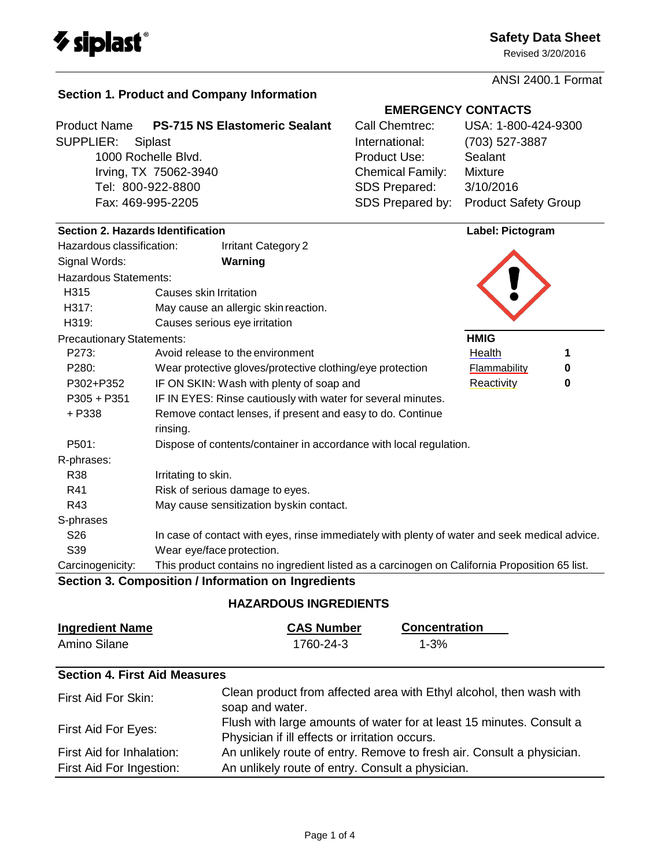

Revised 3/20/2016

ANSI 2400.1 Format

**Product Name PS-715 NS Elastomeric Sealant** SUPPLIER: Siplast 1000 Rochelle Blvd.

Irving, TX 75062-3940 Tel: 800-922-8800 Fax: 469-995-2205

# **EMERGENCY CONTACTS**

| Call Chemtrec:          | USA: 1-800-424-9300         |
|-------------------------|-----------------------------|
| International:          | (703) 527-3887              |
| Product Use:            | Sealant                     |
| <b>Chemical Family:</b> | <b>Mixture</b>              |
| SDS Prepared:           | 3/10/2016                   |
| SDS Prepared by:        | <b>Product Safety Group</b> |

| Section 2. Hazards Identification |                                                                                               | Label: Pictogram    |   |
|-----------------------------------|-----------------------------------------------------------------------------------------------|---------------------|---|
| Hazardous classification:         | <b>Irritant Category 2</b>                                                                    |                     |   |
| Signal Words:                     | Warning                                                                                       |                     |   |
| <b>Hazardous Statements:</b>      |                                                                                               |                     |   |
| H315                              | Causes skin Irritation                                                                        |                     |   |
| H317:                             | May cause an allergic skin reaction.                                                          |                     |   |
| H319:                             | Causes serious eye irritation                                                                 |                     |   |
| <b>Precautionary Statements:</b>  |                                                                                               | <b>HMIG</b>         |   |
| P273:                             | Avoid release to the environment                                                              | Health              | 1 |
| P280:                             | Wear protective gloves/protective clothing/eye protection                                     | <b>Flammability</b> | 0 |
| P302+P352                         | IF ON SKIN: Wash with plenty of soap and                                                      | Reactivity          | 0 |
| $P305 + P351$                     | IF IN EYES: Rinse cautiously with water for several minutes.                                  |                     |   |
| + P338                            | Remove contact lenses, if present and easy to do. Continue                                    |                     |   |
|                                   | rinsing.                                                                                      |                     |   |
| P501:                             | Dispose of contents/container in accordance with local regulation.                            |                     |   |
| R-phrases:                        |                                                                                               |                     |   |
| R38                               | Irritating to skin.                                                                           |                     |   |
| R41                               | Risk of serious damage to eyes.                                                               |                     |   |
| R43                               | May cause sensitization by skin contact.                                                      |                     |   |
| S-phrases                         |                                                                                               |                     |   |
| S <sub>26</sub>                   | In case of contact with eyes, rinse immediately with plenty of water and seek medical advice. |                     |   |
| S39                               | Wear eye/face protection.                                                                     |                     |   |
| Carcinogenicity:                  | This product contains no ingredient listed as a carcinogen on California Proposition 65 list. |                     |   |
|                                   | Section 3. Composition / Information on Ingredients                                           |                     |   |

## **HAZARDOUS INGREDIENTS**

| <b>Ingredient Name</b> | <b>CAS Number</b> | <b>Concentration</b> |
|------------------------|-------------------|----------------------|
| Amino Silane           | 1760-24-3         | $1 - 3%$             |

## **Section 4. First Aid Measures**

| First Aid For Skin:       | Clean product from affected area with Ethyl alcohol, then wash with<br>soap and water.                                 |
|---------------------------|------------------------------------------------------------------------------------------------------------------------|
| First Aid For Eyes:       | Flush with large amounts of water for at least 15 minutes. Consult a<br>Physician if ill effects or irritation occurs. |
| First Aid for Inhalation: | An unlikely route of entry. Remove to fresh air. Consult a physician.                                                  |
| First Aid For Ingestion:  | An unlikely route of entry. Consult a physician.                                                                       |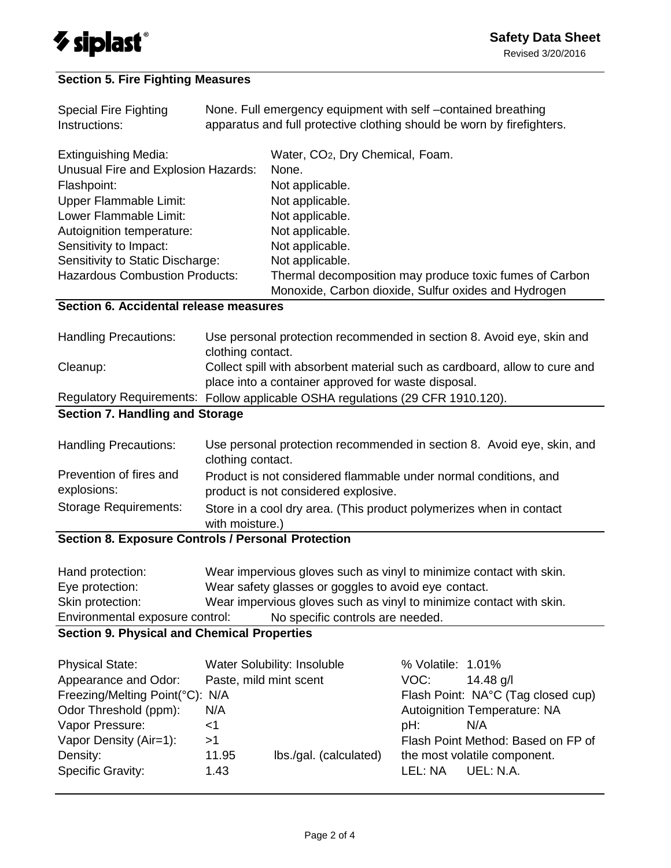

### **Section 5. Fire Fighting Measures**

| <b>Special Fire Fighting</b><br>Instructions: | None. Full emergency equipment with self-contained breathing<br>apparatus and full protective clothing should be worn by firefighters. |                                                         |  |
|-----------------------------------------------|----------------------------------------------------------------------------------------------------------------------------------------|---------------------------------------------------------|--|
| <b>Extinguishing Media:</b>                   |                                                                                                                                        | Water, CO <sub>2</sub> , Dry Chemical, Foam.            |  |
| Unusual Fire and Explosion Hazards:           |                                                                                                                                        | None.                                                   |  |
| Flashpoint:                                   |                                                                                                                                        | Not applicable.                                         |  |
| Upper Flammable Limit:                        |                                                                                                                                        | Not applicable.                                         |  |
| Lower Flammable Limit:                        |                                                                                                                                        | Not applicable.                                         |  |
| Autoignition temperature:                     |                                                                                                                                        | Not applicable.                                         |  |
| Sensitivity to Impact:                        |                                                                                                                                        | Not applicable.                                         |  |
| Sensitivity to Static Discharge:              |                                                                                                                                        | Not applicable.                                         |  |
| <b>Hazardous Combustion Products:</b>         |                                                                                                                                        | Thermal decomposition may produce toxic fumes of Carbon |  |
|                                               |                                                                                                                                        | Monoxide, Carbon dioxide, Sulfur oxides and Hydrogen    |  |
| Section 6. Accidental release measures        |                                                                                                                                        |                                                         |  |

Handling Precautions: Use personal protection recommended in section 8. Avoid eye, skin and clothing contact. Cleanup: Collect spill with absorbent material such as cardboard, allow to cure and place into a container approved for waste disposal. Regulatory Requirements: Follow applicable OSHA regulations (29 CFR 1910.120).

# **Section 7. Handling and Storage**

| Handling Precautions:                  | Use personal protection recommended in section 8. Avoid eye, skin, and<br>clothing contact.              |
|----------------------------------------|----------------------------------------------------------------------------------------------------------|
| Prevention of fires and<br>explosions: | Product is not considered flammable under normal conditions, and<br>product is not considered explosive. |
| Storage Requirements:                  | Store in a cool dry area. (This product polymerizes when in contact<br>with moisture.)                   |
|                                        | <b>Section 8. Exposure Controls / Personal Protection</b>                                                |

#### **Section 8. Exposure Controls / Personal Protection**

| Hand protection:                | Wear impervious gloves such as vinyl to minimize contact with skin. |
|---------------------------------|---------------------------------------------------------------------|
| Eye protection:                 | Wear safety glasses or goggles to avoid eye contact.                |
| Skin protection:                | Wear impervious gloves such as vinyl to minimize contact with skin. |
| Environmental exposure control: | No specific controls are needed.                                    |

### **Section 9. Physical and Chemical Properties**

| <b>Physical State:</b>          |                        | Water Solubility: Insoluble | % Volatile: 1.01% |                                    |
|---------------------------------|------------------------|-----------------------------|-------------------|------------------------------------|
| Appearance and Odor:            | Paste, mild mint scent |                             | VOC:              | 14.48 $q/l$                        |
| Freezing/Melting Point(°C): N/A |                        |                             |                   | Flash Point: NA°C (Tag closed cup) |
| Odor Threshold (ppm):           | N/A                    |                             |                   | Autoignition Temperature: NA       |
| Vapor Pressure:                 | -1                     |                             | pH:               | N/A                                |
| Vapor Density (Air=1):          | >1                     |                             |                   | Flash Point Method: Based on FP of |
| Density:                        | 11.95                  | lbs./gal. (calculated)      |                   | the most volatile component.       |
| <b>Specific Gravity:</b>        | 1.43                   |                             | LEL: NA           | UEL: N.A.                          |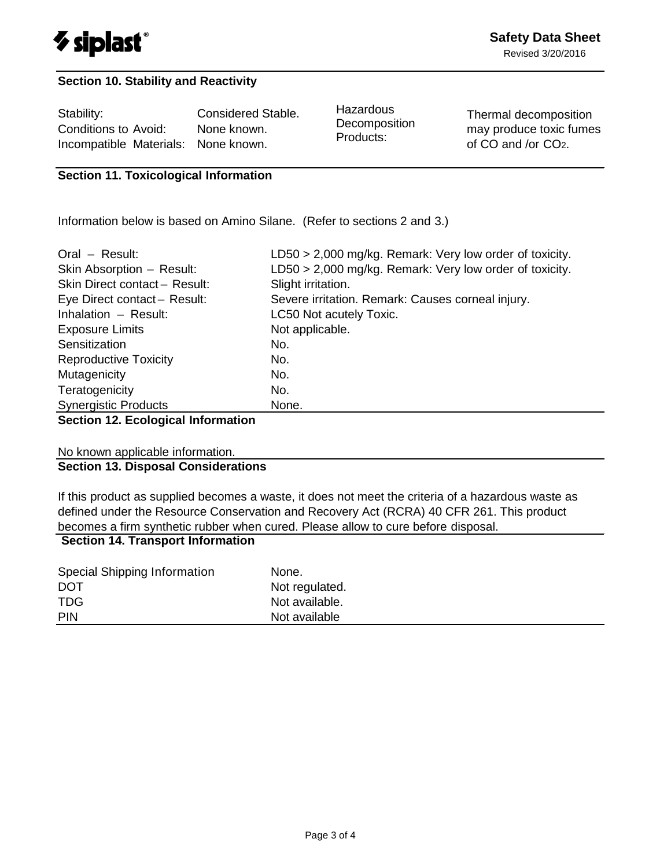

#### **Section 10. Stability and Reactivity**

Stability: Considered Stable. Conditions to Avoid: None known. Incompatible Materials: None known.

**Hazardous Decomposition** Products:

Thermal decomposition may produce toxic fumes of CO and /or CO2.

#### **Section 11. Toxicological Information**

Information below is based on Amino Silane. (Refer to sections 2 and 3.)

| Oral - Result:                   | $LD50 > 2,000$ mg/kg. Remark: Very low order of toxicity. |
|----------------------------------|-----------------------------------------------------------|
| Skin Absorption - Result:        | LD50 > 2,000 mg/kg. Remark: Very low order of toxicity.   |
| Skin Direct contact - Result:    | Slight irritation.                                        |
| Eye Direct contact - Result:     | Severe irritation. Remark: Causes corneal injury.         |
| Inhalation - Result:             | LC50 Not acutely Toxic.                                   |
| <b>Exposure Limits</b>           | Not applicable.                                           |
| Sensitization                    | No.                                                       |
| <b>Reproductive Toxicity</b>     | No.                                                       |
| Mutagenicity                     | No.                                                       |
| Teratogenicity                   | No.                                                       |
| <b>Synergistic Products</b>      | None.                                                     |
| Continued Continuing Information |                                                           |

#### **Section 12. Ecological Information**

No known applicable information.

#### **Section 13. Disposal Considerations**

If this product as supplied becomes a waste, it does not meet the criteria of a hazardous waste as defined under the Resource Conservation and Recovery Act (RCRA) 40 CFR 261. This product becomes a firm synthetic rubber when cured. Please allow to cure before disposal.

### **Section 14. Transport Information**

| Special Shipping Information<br><b>DOT</b> | None.<br>Not regulated. |
|--------------------------------------------|-------------------------|
| <b>TDG</b>                                 | Not available.          |
| <b>PIN</b>                                 | Not available           |